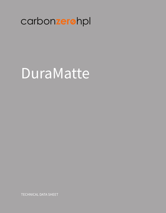# carbonzerohpl

# DuraMatte

**TECHNICAL DATA SHEET**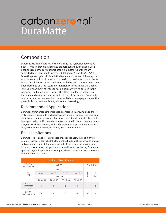# **DuraMatte** carbon**zero**hpl®

### Composition

Duramatte is manufactured with melamine resin, special decorative papers (which provide its surface properties) and Kraft papers with phenolic resin (the core support of the laminate). All of them are subjected to a high specific pressure (100 kg/cm2) and 135ºC (275°F). Once the press cycle is finished, the laminate is trimmed following the established nominal dimensions, packed and distributed to our clients. Due to its thickness Duramatte is not sanded on its back. Duramatte has been classified as a fire retardant material, certified under the Docket 90-A US Department of Transportation normatively, to be used in the covering of vehicle bodies. Duramatte offers excellent resistance to humidity and moderate resistance to chemical substances. Duramatte can be ordered with one or both faces with decorative paper, or just the phenolic body, brown or black, without any covering.

#### Recommended Applications

Duramatte from CarbonZero offers excellent mechanical, structural, and thermal properties. Duramatte is a high resistance product, with more dimensional stability and humidity resistance than most conventional laminates. Duramatte is designed to be used in the elaboration of construction forms, structural materials, office divisions, sanitary work surfaces, counter tops, car interior coverings, architectonic furniture, machinery parts, among others.

#### Basic Limitations

Duramatte is designed for interior uses only, it does not withstand high temperature, exceeding 135ºC (275°F). Duramatte should not be exposed to intense and continuous sunlight. Duramatte is available in thicknesses varying from 2.0 mm to 25 mm in any design of our approved line and exclusively for normal applications, not for postformable designs. Please contact our sales representatives for further assistance.

| product identification                    |                    |                    |                    |                    |       |                 |  |  |
|-------------------------------------------|--------------------|--------------------|--------------------|--------------------|-------|-----------------|--|--|
| <b>NOMINAL</b><br><b>THICKNESS</b>        | <b>SIZES</b>       |                    |                    |                    |       | <b>FINISHES</b> |  |  |
|                                           |                    |                    |                    |                    |       |                 |  |  |
| mm<br>(in)                                | $4 \times 8$       | $4 \times 10$      | $5 \times 8$       | 5 x 12             | Gloss | Matte           |  |  |
|                                           |                    |                    |                    |                    |       |                 |  |  |
|                                           | $1.22 \times 2.44$ | $1.22 \times 3.06$ | $1.53 \times 2.44$ | $1.53 \times 3.66$ |       |                 |  |  |
| Solicited<br><b>Thickness</b><br>$+/- 5%$ | X                  | X                  | X                  | X                  | X     | X               |  |  |
| $20 - 60$<br>$(0.079 - 0.236)$            | X                  | X                  | Χ                  | Χ                  | X     | X               |  |  |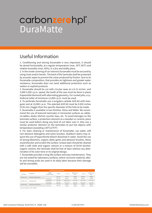# **DuraMatte** carbon**zero**hpl®

### Useful Information

1. Conditioning and storing Duramatte is very important, it should be stored horizontally, at a regular temperature (max. 30ºC 86°F) and relative humidity (max. 60%), in a dry and drafty place.

2. In the inside covering of car interiors Duramatte must be secured by using rivets and/or bevels. The back of the laminate shall be protected by acoustic tapes to prevent the noise produced by friction. Due to its Duramatte composition, that provides air tightness and greater water resistance, Duramatte does not need additional protection such as sealers or asphalt products.

3. Duramatte should be cut with circular saws at a 8-12 m/min. and 3,000-5,500 r.p.m. speed, the tooth of the saw must be done in plane trapezoidal diamond with alternating geometry. For routed jobs, a cylindrical miller of minimum 12,000 r.p.m. must be used.

4. To perforate Duramatte use a tungsten-carbide drill bit with biangular end at 10,000 r.p.m. The selected drill bit must be 0.002 inches (0.05 mm.) bigger than the specific diameter of the hole to be made.

5. Duramatte is available in two finishes: Gloss and Matte. We recommend the use of textured laminates in horizontal surfaces as cafeteria tables, desks, kitchen counter tops, etc. To avoid damages on the laminate surface, a protection element as a wooden or ceramic piece must be used before doing any kind of cut labor over it. Also use a similar protector element on the laminates to put hot objects with temperature exceeding 135ºC(275°F)

6. For stain cleaning or maintenance of Duramatte, use water, soft non-abrasive detergents and nylon brushes. Stubborn stains may require the use of hypochlorite bleach dissolved in water. Avoid the use of strong bleachers, organic deter-gents and abrasive brushes, these could discolor and scratch the surface. Grease stain should be cleaned with a soft cloth and organic solvent or a mixture of 50:50 alcoholorganic solvent, the laminate shall be free of stain without any deterioration of its color tone or its original design.

7. Duramatte provides a long-life surface and easy maintenance. They are not suited for laboratory surfaces, where corrosive material, alkalis and strong acids are used in its daily labor because their damage will be inevitable.

| mechanical properties |                    |                                    |                    |                        |                     |                      |                     |  |
|-----------------------|--------------------|------------------------------------|--------------------|------------------------|---------------------|----------------------|---------------------|--|
| <b>MFTHOD</b>         | PROPERTY           | <b>FIBER</b><br><b>ORIENTATION</b> | <b>UNITS</b>       | $2 - 6$ mm7            | NFMA I D.3<br>CGS   | $-25$ mm             | NFMAID.3<br>CGS     |  |
| ASTM D 790            | FLEXION RESISTANCE | Transversal                        | PSI max<br>PSI max | 41317<br>39194         | 18000<br>12000      | 30759<br>28945       | 18000<br>12000      |  |
|                       | FI FXION UNIT      | Longitudinal                       | PSI max.           | $2.04 X 10^{6}$        | $1.6 \times 10^{6}$ | $2.0 \times 10^6$    | $1.6 \times 10^{6}$ |  |
| ASTM D 790            |                    | Transversal                        | PSI max.           | 1.72 X 10 <sup>6</sup> | $1.4 \times 10^{6}$ | $1.87 \times 10^{6}$ | $1.4 \times 10^{6}$ |  |
| ASTM D 638            | TENSION RESISTANCE | Longitudinal                       | PSI max.           | 20062                  | 18000               | 25598                | 18000               |  |
|                       |                    | Transversal                        | PSI max            | 17084                  | 12000               | 24216                | 12000               |  |

Analysis Certificated #4227-729830